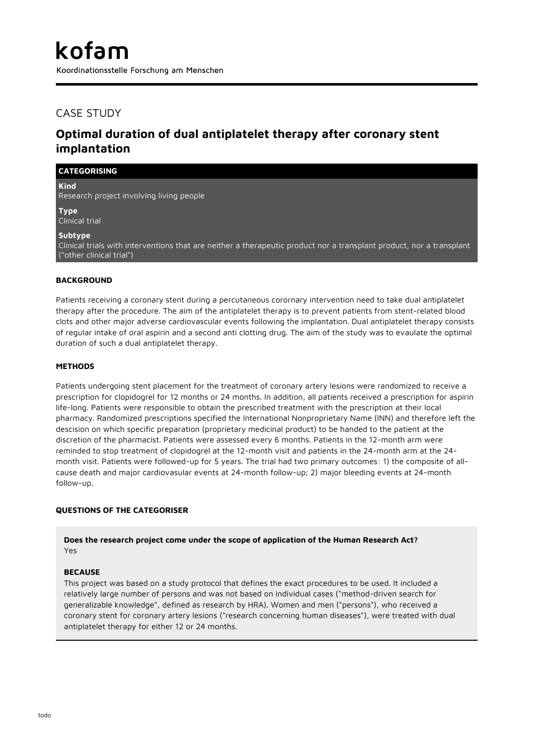## CASE STUDY

**CATEGORISING**

# **Optimal duration of dual antiplatelet therapy after coronary stent implantation**

**Kind** Research project involving living people

**Type** Clinical trial

**Subtype**

Clinical trials with interventions that are neither a therapeutic product nor a transplant product, nor a transplant ("other clinical trial")

## **BACKGROUND**

Patients receiving a coronary stent during a percutaneous corornary intervention need to take dual antiplatelet therapy after the procedure. The aim of the antiplatelet therapy is to prevent patients from stent-related blood clots and other major adverse cardiovascular events following the implantation. Dual antiplatelet therapy consists of regular intake of oral aspirin and a second anti clotting drug. The aim of the study was to evaulate the optimal duration of such a dual antiplatelet therapy.

### **METHODS**

Patients undergoing stent placement for the treatment of coronary artery lesions were randomized to receive a prescription for clopidogrel for 12 months or 24 months. In addition, all patients received a prescription for aspirin life-long. Patients were responsible to obtain the prescribed treatment with the prescription at their local pharmacy. Randomized prescriptions specified the International Nonproprietary Name (INN) and therefore left the descision on which specific preparation (proprietary medicinal product) to be handed to the patient at the discretion of the pharmacist. Patients were assessed every 6 months. Patients in the 12-month arm were reminded to stop treatment of clopidogrel at the 12-month visit and patients in the 24-month arm at the 24 month visit. Patients were followed-up for 5 years. The trial had two primary outcomes: 1) the composite of allcause death and major cardiovasular events at 24-month follow-up; 2) major bleeding events at 24-month follow-up.

### **QUESTIONS OF THE CATEGORISER**

**Does the research project come under the scope of application of the Human Research Act?** Yes

#### **BECAUSE**

This project was based on a study protocol that defines the exact procedures to be used. It included a relatively large number of persons and was not based on individual cases ("method-driven search for generalizable knowledge", defined as research by HRA). Women and men ("persons"), who received a coronary stent for coronary artery lesions ("research concerning human diseases"), were treated with dual antiplatelet therapy for either 12 or 24 months.